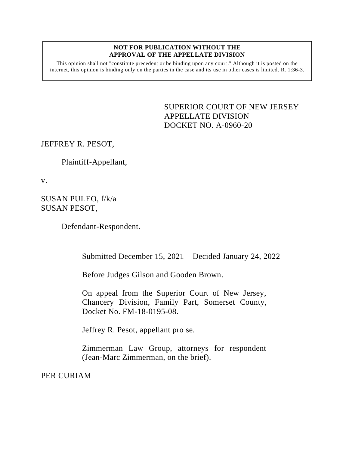## **NOT FOR PUBLICATION WITHOUT THE APPROVAL OF THE APPELLATE DIVISION**

This opinion shall not "constitute precedent or be binding upon any court." Although it is posted on the internet, this opinion is binding only on the parties in the case and its use in other cases is limited. R. 1:36-3.

> <span id="page-0-0"></span>SUPERIOR COURT OF NEW JERSEY APPELLATE DIVISION DOCKET NO. A-0960-20

JEFFREY R. PESOT,

Plaintiff-Appellant,

v.

SUSAN PULEO, f/k/a SUSAN PESOT,

Defendant-Respondent.

\_\_\_\_\_\_\_\_\_\_\_\_\_\_\_\_\_\_\_\_\_\_\_\_

Submitted December 15, 2021 – Decided January 24, 2022

Before Judges Gilson and Gooden Brown.

On appeal from the Superior Court of New Jersey, Chancery Division, Family Part, Somerset County, Docket No. FM-18-0195-08.

Jeffrey R. Pesot, appellant pro se.

Zimmerman Law Group, attorneys for respondent (Jean-Marc Zimmerman, on the brief).

PER CURIAM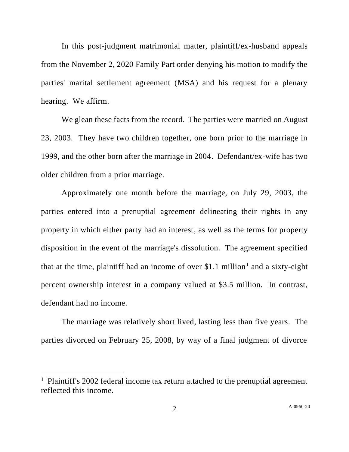In this post-judgment matrimonial matter, plaintiff/ex-husband appeals from the November 2, 2020 Family Part order denying his motion to modify the parties' marital settlement agreement (MSA) and his request for a plenary hearing. We affirm.

We glean these facts from the record. The parties were married on August 23, 2003. They have two children together, one born prior to the marriage in 1999, and the other born after the marriage in 2004. Defendant/ex-wife has two older children from a prior marriage.

Approximately one month before the marriage, on July 29, 2003, the parties entered into a prenuptial agreement delineating their rights in any property in which either party had an interest, as well as the terms for property disposition in the event of the marriage's dissolution. The agreement specified that at the time, plaintiff had an income of over \$1.1 million<sup>1</sup> and a sixty-eight percent ownership interest in a company valued at \$3.5 million. In contrast, defendant had no income.

The marriage was relatively short lived, lasting less than five years. The parties divorced on February 25, 2008, by way of a final judgment of divorce

<sup>&</sup>lt;sup>1</sup> Plaintiff's 2002 federal income tax return attached to the prenuptial agreement reflected this income.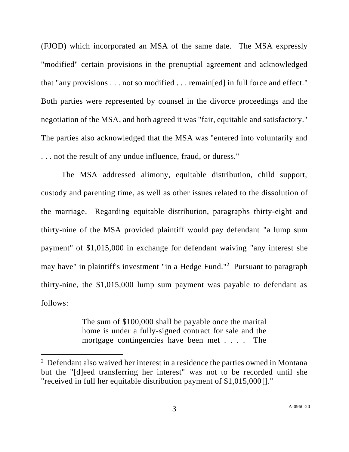(FJOD) which incorporated an MSA of the same date. The MSA expressly "modified" certain provisions in the prenuptial agreement and acknowledged that "any provisions . . . not so modified . . . remain[ed] in full force and effect." Both parties were represented by counsel in the divorce proceedings and the negotiation of the MSA, and both agreed it was "fair, equitable and satisfactory." The parties also acknowledged that the MSA was "entered into voluntarily and . . . not the result of any undue influence, fraud, or duress."

The MSA addressed alimony, equitable distribution, child support, custody and parenting time, as well as other issues related to the dissolution of the marriage. Regarding equitable distribution, paragraphs thirty-eight and thirty-nine of the MSA provided plaintiff would pay defendant "a lump sum payment" of \$1,015,000 in exchange for defendant waiving "any interest she may have" in plaintiff's investment "in a Hedge Fund."<sup>2</sup> Pursuant to paragraph thirty-nine, the \$1,015,000 lump sum payment was payable to defendant as follows:

> The sum of \$100,000 shall be payable once the marital home is under a fully-signed contract for sale and the mortgage contingencies have been met . . . . The

 $2$  Defendant also waived her interest in a residence the parties owned in Montana but the "[d]eed transferring her interest" was not to be recorded until she "received in full her equitable distribution payment of \$1,015,000[]."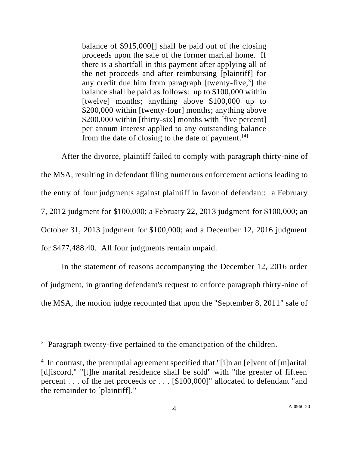balance of \$915,000[] shall be paid out of the closing proceeds upon the sale of the former marital home. If there is a shortfall in this payment after applying all of the net proceeds and after reimbursing [plaintiff] for any credit due him from paragraph [twenty-five, 3 ] the balance shall be paid as follows: up to \$100,000 within [twelve] months; anything above \$100,000 up to \$200,000 within [twenty-four] months; anything above \$200,000 within [thirty-six] months with [five percent] per annum interest applied to any outstanding balance from the date of closing to the date of payment. $[4]$ 

After the divorce, plaintiff failed to comply with paragraph thirty-nine of the MSA, resulting in defendant filing numerous enforcement actions leading to the entry of four judgments against plaintiff in favor of defendant: a February 7, 2012 judgment for \$100,000; a February 22, 2013 judgment for \$100,000; an October 31, 2013 judgment for \$100,000; and a December 12, 2016 judgment for \$477,488.40. All four judgments remain unpaid.

In the statement of reasons accompanying the December 12, 2016 order of judgment, in granting defendant's request to enforce paragraph thirty-nine of the MSA, the motion judge recounted that upon the "September 8, 2011" sale of

 $3$  Paragraph twenty-five pertained to the emancipation of the children.

<sup>&</sup>lt;sup>4</sup> In contrast, the prenuptial agreement specified that "[i]n an [e]vent of [m]arital [d]iscord," "[t]he marital residence shall be sold" with "the greater of fifteen percent . . . of the net proceeds or . . . [\$100,000]" allocated to defendant "and the remainder to [plaintiff]."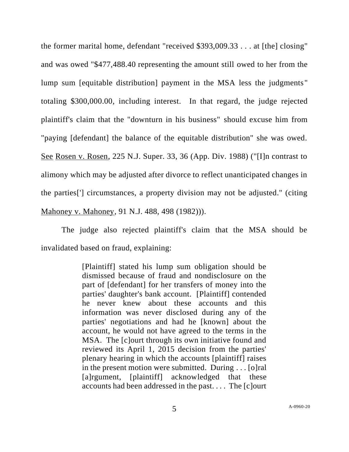the former marital home, defendant "received \$393,009.33 . . . at [the] closing" and was owed "\$477,488.40 representing the amount still owed to her from the lump sum [equitable distribution] payment in the MSA less the judgments " totaling \$300,000.00, including interest. In that regard, the judge rejected plaintiff's claim that the "downturn in his business" should excuse him from "paying [defendant] the balance of the equitable distribution" she was owed. See Rosen v. Rosen, 225 N.J. Super. 33, 36 (App. Div. 1988) ("[I]n contrast to alimony which may be adjusted after divorce to reflect unanticipated changes in the parties['] circumstances, a property division may not be adjusted." (citing Mahoney v. Mahoney, 91 N.J. 488, 498 (1982))).

The judge also rejected plaintiff's claim that the MSA should be invalidated based on fraud, explaining:

> [Plaintiff] stated his lump sum obligation should be dismissed because of fraud and nondisclosure on the part of [defendant] for her transfers of money into the parties' daughter's bank account. [Plaintiff] contended he never knew about these accounts and this information was never disclosed during any of the parties' negotiations and had he [known] about the account, he would not have agreed to the terms in the MSA. The [c]ourt through its own initiative found and reviewed its April 1, 2015 decision from the parties' plenary hearing in which the accounts [plaintiff] raises in the present motion were submitted. During . . . [o]ral [a]rgument, [plaintiff] acknowledged that these accounts had been addressed in the past. . . . The [c]ourt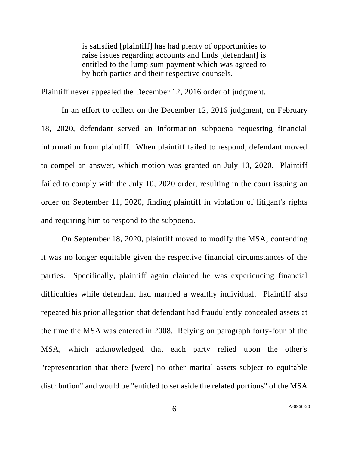is satisfied [plaintiff] has had plenty of opportunities to raise issues regarding accounts and finds [defendant] is entitled to the lump sum payment which was agreed to by both parties and their respective counsels.

Plaintiff never appealed the December 12, 2016 order of judgment.

In an effort to collect on the December 12, 2016 judgment, on February 18, 2020, defendant served an information subpoena requesting financial information from plaintiff. When plaintiff failed to respond, defendant moved to compel an answer, which motion was granted on July 10, 2020. Plaintiff failed to comply with the July 10, 2020 order, resulting in the court issuing an order on September 11, 2020, finding plaintiff in violation of litigant's rights and requiring him to respond to the subpoena.

On September 18, 2020, plaintiff moved to modify the MSA, contending it was no longer equitable given the respective financial circumstances of the parties. Specifically, plaintiff again claimed he was experiencing financial difficulties while defendant had married a wealthy individual. Plaintiff also repeated his prior allegation that defendant had fraudulently concealed assets at the time the MSA was entered in 2008. Relying on paragraph forty-four of the MSA, which acknowledged that each party relied upon the other's "representation that there [were] no other marital assets subject to equitable distribution" and would be "entitled to set aside the related portions" of the MSA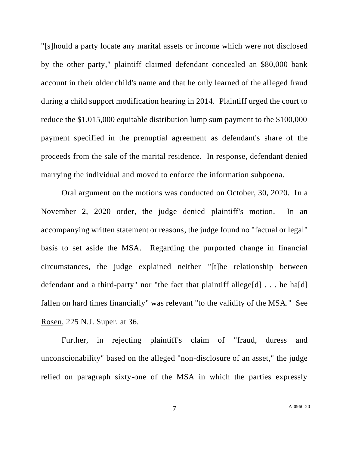"[s]hould a party locate any marital assets or income which were not disclosed by the other party," plaintiff claimed defendant concealed an \$80,000 bank account in their older child's name and that he only learned of the alleged fraud during a child support modification hearing in 2014. Plaintiff urged the court to reduce the \$1,015,000 equitable distribution lump sum payment to the \$100,000 payment specified in the prenuptial agreement as defendant's share of the proceeds from the sale of the marital residence. In response, defendant denied marrying the individual and moved to enforce the information subpoena.

Oral argument on the motions was conducted on October, 30, 2020. In a November 2, 2020 order, the judge denied plaintiff's motion. In an accompanying written statement or reasons, the judge found no "factual or legal" basis to set aside the MSA. Regarding the purported change in financial circumstances, the judge explained neither "[t]he relationship between defendant and a third-party" nor "the fact that plaintiff allege[d]  $\ldots$  he ha[d] fallen on hard times financially" was relevant "to the validity of the MSA." See Rosen, 225 N.J. Super. at 36.

Further, in rejecting plaintiff's claim of "fraud, duress and unconscionability" based on the alleged "non-disclosure of an asset," the judge relied on paragraph sixty-one of the MSA in which the parties expressly

7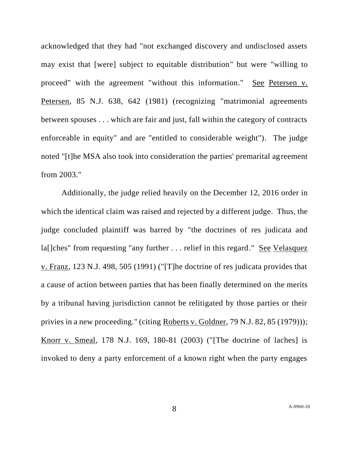acknowledged that they had "not exchanged discovery and undisclosed assets may exist that [were] subject to equitable distribution" but were "willing to proceed" with the agreement "without this information." See Petersen v. Petersen, 85 N.J. 638, 642 (1981) (recognizing "matrimonial agreements between spouses . . . which are fair and just, fall within the category of contracts enforceable in equity" and are "entitled to considerable weight"). The judge noted "[t]he MSA also took into consideration the parties' premarital agreement from 2003."

Additionally, the judge relied heavily on the December 12, 2016 order in which the identical claim was raised and rejected by a different judge. Thus, the judge concluded plaintiff was barred by "the doctrines of res judicata and la[]ches" from requesting "any further . . . relief in this regard." See Velasquez v. Franz, 123 N.J. 498, 505 (1991) ("[T]he doctrine of res judicata provides that a cause of action between parties that has been finally determined on the merits by a tribunal having jurisdiction cannot be relitigated by those parties or their privies in a new proceeding." (citing Roberts v. Goldner, 79 N.J. 82, 85 (1979))); Knorr v. Smeal, 178 N.J. 169, 180-81 (2003) ("[The doctrine of laches] is invoked to deny a party enforcement of a known right when the party engages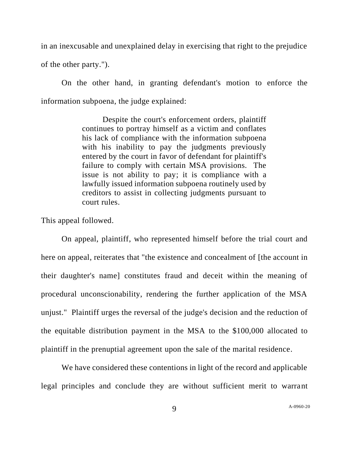in an inexcusable and unexplained delay in exercising that right to the prejudice of the other party.").

On the other hand, in granting defendant's motion to enforce the information subpoena, the judge explained:

> Despite the court's enforcement orders, plaintiff continues to portray himself as a victim and conflates his lack of compliance with the information subpoena with his inability to pay the judgments previously entered by the court in favor of defendant for plaintiff's failure to comply with certain MSA provisions. The issue is not ability to pay; it is compliance with a lawfully issued information subpoena routinely used by creditors to assist in collecting judgments pursuant to court rules.

This appeal followed.

On appeal, plaintiff, who represented himself before the trial court and here on appeal, reiterates that "the existence and concealment of [the account in their daughter's name] constitutes fraud and deceit within the meaning of procedural unconscionability, rendering the further application of the MSA unjust." Plaintiff urges the reversal of the judge's decision and the reduction of the equitable distribution payment in the MSA to the \$100,000 allocated to plaintiff in the prenuptial agreement upon the sale of the marital residence.

We have considered these contentions in light of the record and applicable legal principles and conclude they are without sufficient merit to warrant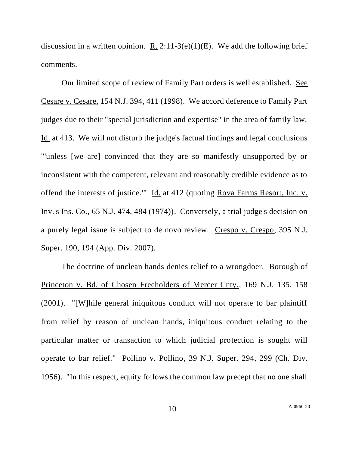discussion in a written opinion. R.  $2:11-3(e)(1)(E)$ . We add the following brief comments.

Our limited scope of review of Family Part orders is well established. See Cesare v. Cesare, 154 N.J. 394, 411 (1998). We accord deference to Family Part judges due to their "special jurisdiction and expertise" in the area of family law. Id. at 413. We will not disturb the judge's factual findings and legal conclusions "'unless [we are] convinced that they are so manifestly unsupported by or inconsistent with the competent, relevant and reasonably credible evidence as to offend the interests of justice.'" Id. at 412 (quoting Rova Farms Resort, Inc. v. Inv.'s Ins. Co., 65 N.J. 474, 484 (1974)). Conversely, a trial judge's decision on a purely legal issue is subject to de novo review. Crespo v. Crespo, 395 N.J. Super. 190, 194 (App. Div. 2007).

The doctrine of unclean hands denies relief to a wrongdoer. Borough of Princeton v. Bd. of Chosen Freeholders of Mercer Cnty.*,* 169 N.J. 135, 158 (2001). "[W]hile general iniquitous conduct will not operate to bar plaintiff from relief by reason of unclean hands, iniquitous conduct relating to the particular matter or transaction to which judicial protection is sought will operate to bar relief." Pollino v. Pollino, 39 N.J. Super. 294, 299 (Ch. Div. 1956). "In this respect, equity follows the common law precept that no one shall